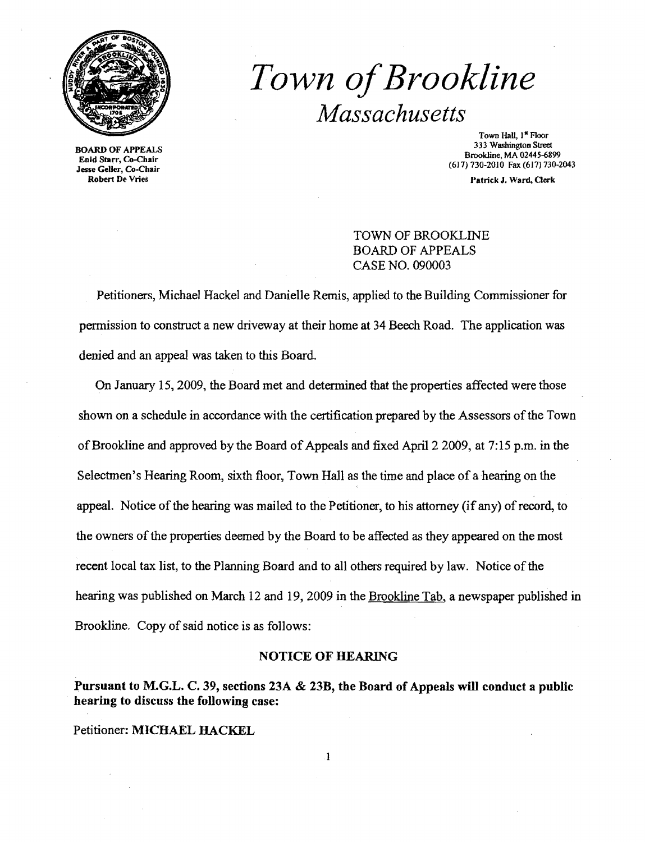

# *Town ofBrookline Massachusetts*

Town Hall, 1\* Floor<br>333 Washington Street 333 Washington Street Bookline, MA 02445-6899<br>
Brookline, MA 02445-6899 Brookline, MA 02445-6899 Enid Starr, Co-Chair (617) 730-2010 Fax (617) 730-2043

Robert De Vries Patrick J. Ward, Clerk

TOWN OF BROOKLINE BOARD OF APPEALS CASE NO. 090003

Petitioners, Michael Hackel and Danielle Remis, applied to the Building Commissioner for permission to construct a new driveway at their home at 34 Beech Road. The application was denied and an appeal was taken to this Board.

On January 15,2009, the Board met and determined that the properties affected were those shown on a schedule in accordance with the certification prepared by the Assessors of the Town of Brookline and approved by the Board of Appeals and fixed April 2 2009, at 7:15 p.m. in the Selectmen's Hearing Room, sixth floor, Town Hall as the time and place of a hearing on the appeal. Notice of the hearing was mailed to the Petitioner, to his attorney (if any) of record, to the owners of the properties deemed by the Board to be affected as they appeared on the most recent local tax list, to the Planning Board and to all others required by law. Notice of the hearing was published on March 12 and 19, 2009 in the Brookline Tab, a newspaper published in Brookline. Copy of said notice is as follows:

### NOTICE OF HEARING

Pursuant to M.G.L. C. 39, sections 23A & 23B, the Board of Appeals will conduct a public hearing to discuss the following case:

Petitioner: MICHAEL HACKEL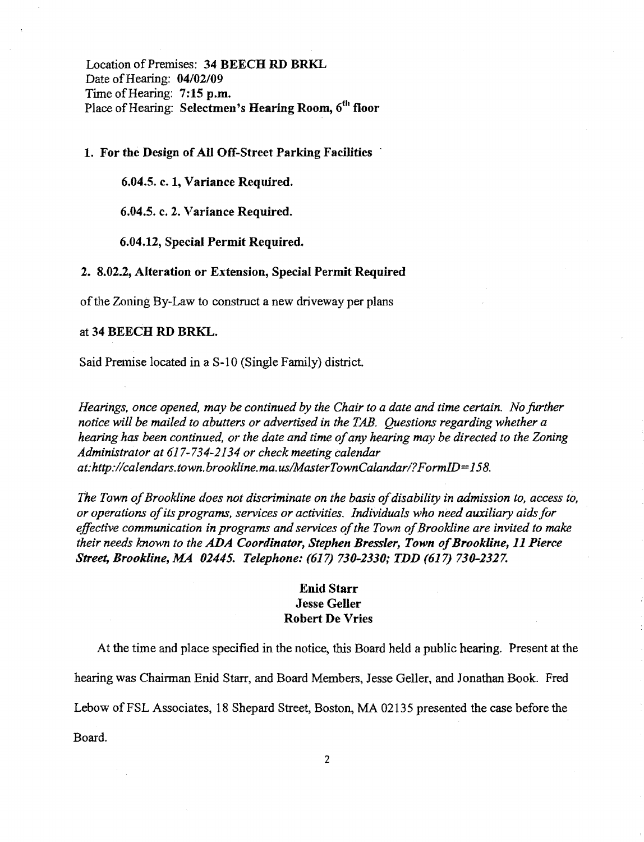Location of Premises: 34 BEECH RD BRKL Date of Hearing: 04/02/09 Time of Hearing: 7:15 p.m. Place of Hearing: Selectmen's Hearing Room, 6<sup>th</sup> floor

1. For the Design of All Off-Street Parking Facilities

6.04.5. c. 1, Variance Required.

6.04.5. c. 2. Variance Required.

6.04.12, Special Permit Required.

#### 2. 8.02.2, Alteration or Extension, Special Permit Required

of the Zoning By-Law to construct a new driveway per plans

#### at 34 BEECH RD BRKL.

Said Premise located in a S-10 (Single Family) district.

*Hearings, once opened, may be continued by the Chair to a date and time certain. No further notice will be mailed to abutters or advertised in the TAB. Questions regarding whether a hearing has been continued, or the date and time ofany hearing may be directed to the Zoning Administrator at* 617-734-2134 *or check meeting calendar at:http://calendars.town.brookline.ma.usIMasterTownCalandarl? FormID= 158.* 

The Town of Brookline does not discriminate on the basis of disability in admission to, access to, *or operations ofits programs, services or activities. Individuals who need auxiliary aids for*  effective communication in programs and services of the Town of Brookline are invited to make *their needs known to the ADA* Coordinator~ *Stephen Bressler, Town ofBrookline,* 11 *Pierce Street, Brookline, MA 02445. Telephone:* (617) *730-2330; TDD* (617) *730-2327.* 

## Enid Starr Jesse Geller Robert De Vries

At the time and place specified in the notice, this Board held a public hearing. Present at the hearing was Chairman Enid Starr, and Board Members, Jesse Geller, and Jonathan Book. Fred Lebow of FSL Associates, 18 Shepard Street, Boston, MA 02135 presented the case before the Board.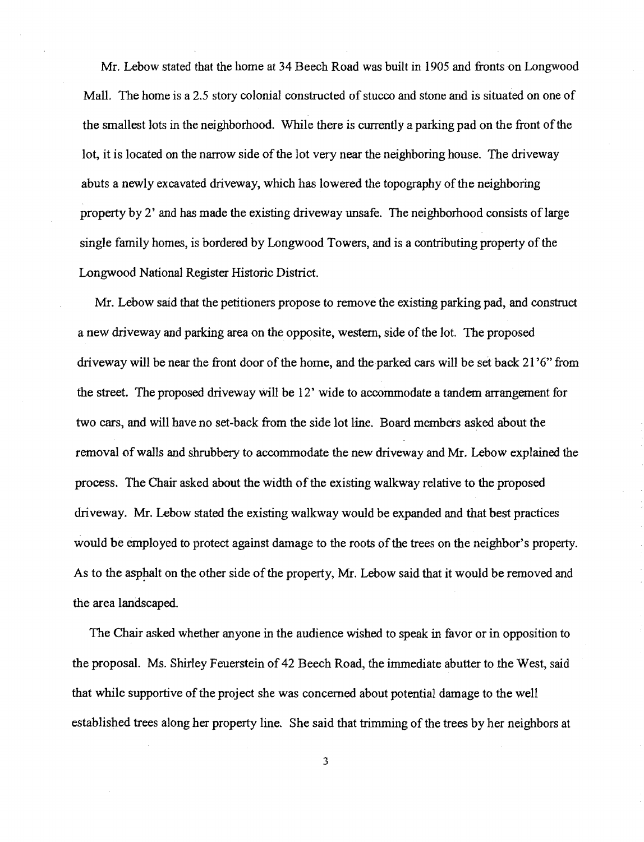Mr. Lebow stated that the home at 34 Beech Road was built in 1905 and fronts on Longwood Mall. The home is a 2.5 story colonial constructed of stucco and stone and is situated on one of the smallest lots in the neighborhood. While there is currently a parking pad on the front ofthe lot, it is located on the narrow side of the lot very near the neighboring house. The driveway abuts a newly excavated driveway, which has lowered the topography of the neighboring property by 2' and has made the existing driveway unsafe. The neighborhood consists of large single family homes, is bordered by Longwood Towers, and is a contributing property of the Longwood National Register Historic District.

Mr. Lebow said that the petitioners propose to remove the existing parking pad, and construct a new driveway and parking area on the opposite, western, side ofthe lot. The proposed driveway will be near the front door of the home, and the parked cars will be set back 21'6" from the street. The proposed driveway will be 12' wide to accommodate a tandem arrangement for two cars, and will have no set-back from the side lot line. Board members asked about the removal ofwalls and shrubbery to accommodate the new driveway and Mr. Lebow explained the process. The Chair asked about the width of the existing walkway relative to the proposed driveway. Mr. Lebow stated the existing walkway would be expanded and that best practices would be employed to protect against damage to the roots of the trees on the neighbor's property. As to the asphalt on the other side of the property, Mr. Lebow said that it would be removed and the area landscaped.

The Chair asked whether anyone in the audience wished to speak in favor or in opposition to the proposal. Ms. Shirley Feuerstein of 42 Beech Road, the immediate abutter to the West, said that while supportive of the project she was concerned about potential damage to the well established trees along her property line. She said that trimming of the trees by her neighbors at

3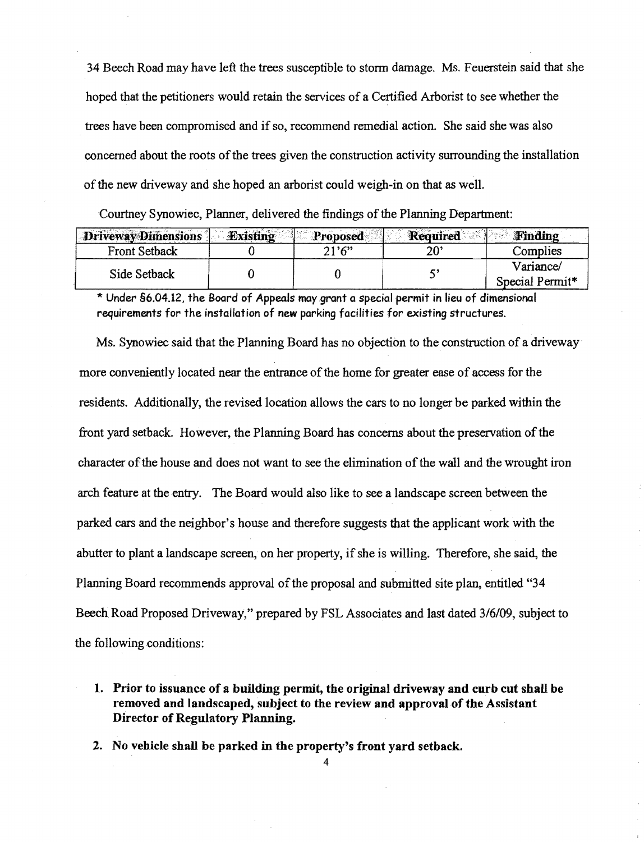34 Beech Road may have left the trees susceptible to storm damage. Ms. Feuerstein said that she hoped that the petitioners would retain the services of a Certified Arborist to see whether the trees have been compromised and if so, recommend remedial action. She said she was also concerned about the roots of the trees given the construction activity surrounding the installation of the new driveway and she hoped an arborist could weigh-in on that as well.

| Courtney Synowiec, Planner, delivered the findings of the Planning Department: |          |          |                 |                              |
|--------------------------------------------------------------------------------|----------|----------|-----------------|------------------------------|
| Driveway Dimensions                                                            | Existing | Proposed | <b>Required</b> | <b>Finding</b>               |
| Front Setback                                                                  |          | 21'6"    | $20^{\circ}$    | Complies                     |
| Side Setback                                                                   |          |          | 5,              | Variance/<br>Special Permit* |

\* Under §6.04.12, the Board of Appeals may.grant a special permit in lieu of dimensional requirements for the installation of new parking facilities for existing structures.

Ms. Synowiec said that the Planning Board has no objection to the construction of a driveway more conveniently located near the entrance of the home for greater ease of access for the residents. Additionally, the revised location allows the cars to no longer be parked within the front yard setback. However, the Planning Board has concerns about the preservation of the character of the house and does not want to see the elimination of the wall and the wrought iron arch feature at the entry. The Board would also like to see a landscape screen between the parked cars and the neighbor'S house and therefore suggests that the applicant work with the abutter to plant a landscape screen, on her property, if she is willing. Therefore, she said, the Planning Board recommends approval of the proposal and submitted site plan, entitled "34" Beech Road Proposed Driveway," prepared by FSL Associates and last dated *3/6/09,* subject to the following conditions:

1. Prior to issuance of a building permit, the original driveway and curb cut shall be removed and landscaped, subject to the review and approval of the Assistant Director of Regulatory Planning.

2. No vehicle shall be parked in the property's front vard setback.

4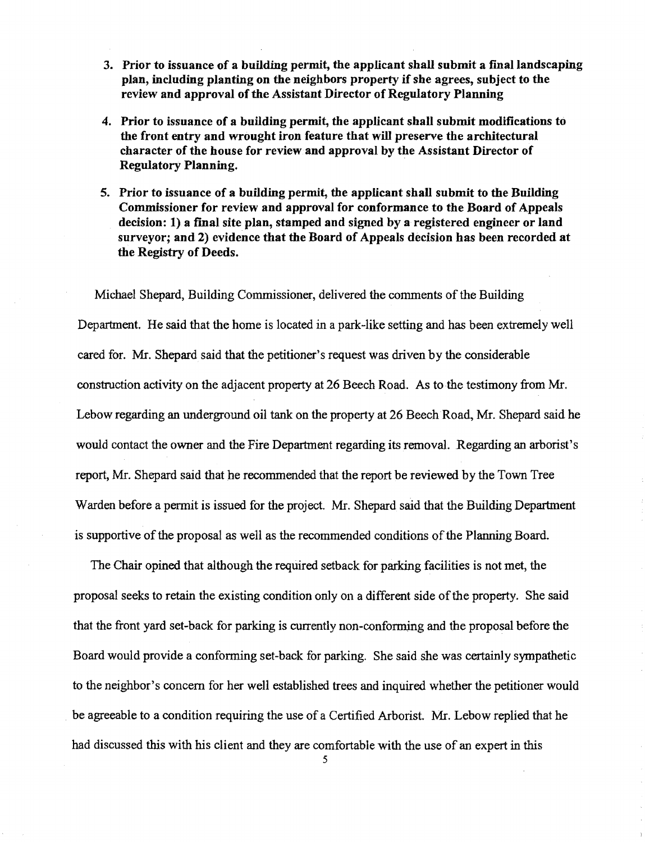- 3. Prior to issuance of a building permit, the applicant shall submit a final landscaping plan, including planting on the neighbors property if she agrees, subject to the review and approval of the Assistant Director of Regulatory Planning
- 4. Prior to issuance of a building permit, the applicant shall submit modifications to the front entry and wrought iron feature that will preserve the architectural character of the house for review and approval by the Assistant Director of Regulatory Planning.
- 5. Prior to issuance of a building permit, the applicant shall submit to the Building Commissioner for review and approval for conformance to the Board of Appeals decision: 1) a final site plan, stamped and signed by a registered engineer or land surveyor; and 2) evidence that the Board of Appeals decision has been recorded at the Registry of Deeds.

Michael Shepard, Building Commissioner, delivered the comments of the Building Department. He said that the home is located in a park-like setting and has been extremely well cared for. Mr. Shepard said that the petitioner's request was driven by the considerable construction activity on the adjacent property at 26 Beech Road. As to the testimony from Mr. Lebow regarding an underground oil tank on the property at 26 Beech Road, Mr. Shepard said he would contact the owner and the Fire Department regarding its removal. Regarding an arborist's report, Mr. Shepard said that he recommended that the report be reviewed by the Town Tree Warden before a permit is issued for the project. Mr. Shepard said that the Building Department is supportive of the proposal as well as the recommended conditions of the Planning Board.

The Chair opined that although the required setback for parking facilities is not met, the proposal seeks to retain the existing condition only on a different side ofthe property. She said that the front yard set-back for parking is currently non-conforming and the proposal before the Board would provide a conforming set-back for parking. She said she was certainly sympathetic to the neighbor's concern for her well established trees and inquired whether the petitioner would be agreeable to a condition requiring the use of a Certified Arborist. Mr. Lebow replied that he had discussed this with his client and they are comfortable with the use of an expert in this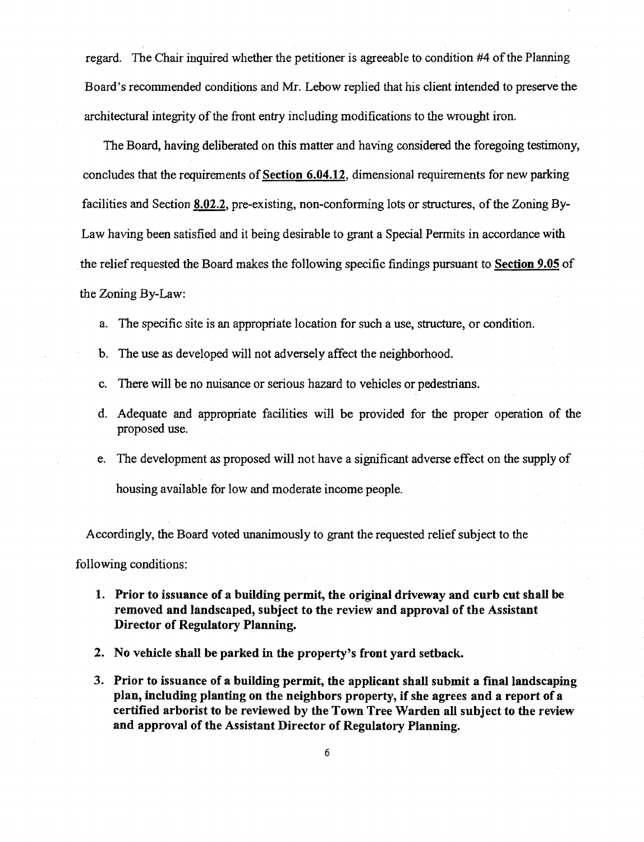regard. The Chair inquired whether the petitioner is agreeable to condition #4 of the Planning Board's recommended conditions and Mr. Lebow replied that his client intended to preserve the architectural integrity of the front entry including modifications to the wrought iron.

The Board, having deliberated on this matter and having considered the foregoing testimony, concludes that the requirements of Section  $6.04.12$ , dimensional requirements for new parking facilities and Section  $8.02.2$ , pre-existing, non-conforming lots or structures, of the Zoning By-Law having been satisfied and it being desirable to grant a Special Permits in accordance with the relief requested the Board makes the following specific findings pursuant to Section 9.05 of the Zoning By-Law:

- a. The specific site is an appropriate location for such a use, structure, or condition.
- b. The use as developed will not adversely affect the neighborhood.
- c. There will be no nuisance or serious hazard to vehicles or pedestrians.
- d. Adequate and appropriate facilities will be provided for the proper operation of the proposed use.
- e. The development as proposed will not have a significant adverse effect on the supply of housing available for low and moderate income people.

Accordingly, the Board voted unanimously to grant the requested relief subject to the

following conditions:

- 1. Prior to issuance of a building permit, the original driveway and curb cut shall be removed and landscaped, subject to the review and approval of the Assistant Director of Regulatory Planning.
- 2. No vehicle shall be parked in the property's front yard setback.
- 3. Prior to issuance of a building permit, the applicant shall submit a final landscaping plan, including planting on the neighbors property, if she agrees and a report of a certified arborist to be reviewed by the Town Tree Warden all subject to the review and approval of the Assistant Director of Regulatory Planning.